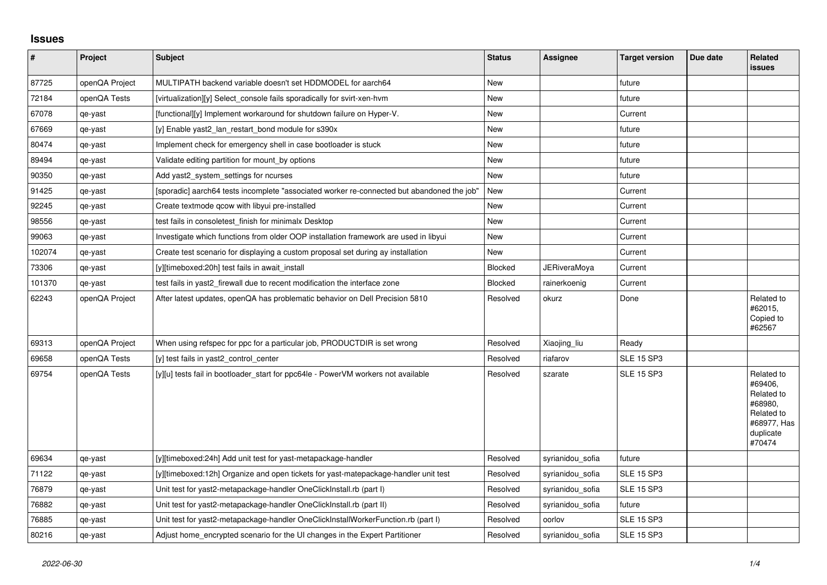## **Issues**

| $\vert$ # | Project        | <b>Subject</b>                                                                             | <b>Status</b>  | Assignee         | <b>Target version</b> | Due date | <b>Related</b><br><b>issues</b>                                                                    |
|-----------|----------------|--------------------------------------------------------------------------------------------|----------------|------------------|-----------------------|----------|----------------------------------------------------------------------------------------------------|
| 87725     | openQA Project | MULTIPATH backend variable doesn't set HDDMODEL for aarch64                                | New            |                  | future                |          |                                                                                                    |
| 72184     | openQA Tests   | [virtualization][y] Select console fails sporadically for svirt-xen-hvm                    | New            |                  | future                |          |                                                                                                    |
| 67078     | qe-yast        | [functional][y] Implement workaround for shutdown failure on Hyper-V.                      | <b>New</b>     |                  | Current               |          |                                                                                                    |
| 67669     | qe-yast        | [y] Enable yast2 lan restart bond module for s390x                                         | New            |                  | future                |          |                                                                                                    |
| 80474     | qe-yast        | Implement check for emergency shell in case bootloader is stuck                            | New            |                  | future                |          |                                                                                                    |
| 89494     | qe-yast        | Validate editing partition for mount_by options                                            | <b>New</b>     |                  | future                |          |                                                                                                    |
| 90350     | qe-yast        | Add yast2_system_settings for ncurses                                                      | New            |                  | future                |          |                                                                                                    |
| 91425     | qe-yast        | [sporadic] aarch64 tests incomplete "associated worker re-connected but abandoned the job" | New            |                  | Current               |          |                                                                                                    |
| 92245     | qe-yast        | Create textmode gcow with libyui pre-installed                                             | <b>New</b>     |                  | Current               |          |                                                                                                    |
| 98556     | qe-yast        | test fails in consoletest finish for minimalx Desktop                                      | New            |                  | Current               |          |                                                                                                    |
| 99063     | qe-yast        | Investigate which functions from older OOP installation framework are used in libyui       | <b>New</b>     |                  | Current               |          |                                                                                                    |
| 102074    | qe-yast        | Create test scenario for displaying a custom proposal set during ay installation           | New            |                  | Current               |          |                                                                                                    |
| 73306     | qe-yast        | [y][timeboxed:20h] test fails in await install                                             | <b>Blocked</b> | JERiveraMoya     | Current               |          |                                                                                                    |
| 101370    | qe-yast        | test fails in yast2 firewall due to recent modification the interface zone                 | <b>Blocked</b> | rainerkoenig     | Current               |          |                                                                                                    |
| 62243     | openQA Project | After latest updates, openQA has problematic behavior on Dell Precision 5810               | Resolved       | okurz            | Done                  |          | Related to<br>#62015,<br>Copied to<br>#62567                                                       |
| 69313     | openQA Project | When using refspec for ppc for a particular job, PRODUCTDIR is set wrong                   | Resolved       | Xiaojing liu     | Ready                 |          |                                                                                                    |
| 69658     | openQA Tests   | [y] test fails in yast2_control_center                                                     | Resolved       | riafarov         | <b>SLE 15 SP3</b>     |          |                                                                                                    |
| 69754     | openQA Tests   | [y][u] tests fail in bootloader_start for ppc64le - PowerVM workers not available          | Resolved       | szarate          | <b>SLE 15 SP3</b>     |          | Related to<br>#69406,<br>Related to<br>#68980,<br>Related to<br>#68977, Has<br>duplicate<br>#70474 |
| 69634     | qe-yast        | [y][timeboxed:24h] Add unit test for yast-metapackage-handler                              | Resolved       | syrianidou sofia | future                |          |                                                                                                    |
| 71122     | qe-yast        | [y][timeboxed:12h] Organize and open tickets for yast-matepackage-handler unit test        | Resolved       | syrianidou_sofia | <b>SLE 15 SP3</b>     |          |                                                                                                    |
| 76879     | qe-yast        | Unit test for yast2-metapackage-handler OneClickInstall.rb (part I)                        | Resolved       | syrianidou_sofia | <b>SLE 15 SP3</b>     |          |                                                                                                    |
| 76882     | qe-yast        | Unit test for yast2-metapackage-handler OneClickInstall.rb (part II)                       | Resolved       | syrianidou sofia | future                |          |                                                                                                    |
| 76885     | qe-yast        | Unit test for yast2-metapackage-handler OneClickInstallWorkerFunction.rb (part I)          | Resolved       | oorlov           | <b>SLE 15 SP3</b>     |          |                                                                                                    |
| 80216     | qe-yast        | Adjust home encrypted scenario for the UI changes in the Expert Partitioner                | Resolved       | syrianidou sofia | <b>SLE 15 SP3</b>     |          |                                                                                                    |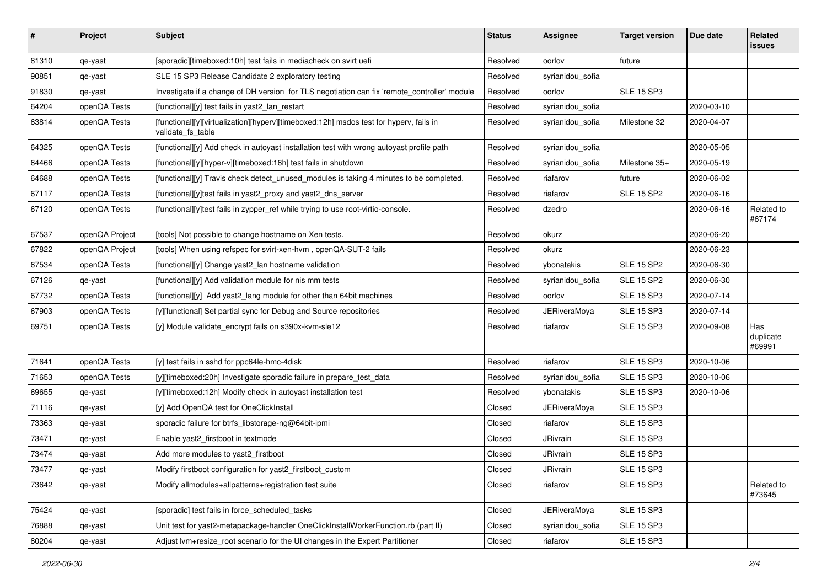| $\vert$ # | Project        | Subject                                                                                                     | <b>Status</b> | Assignee            | <b>Target version</b> | Due date   | Related<br><b>issues</b>   |
|-----------|----------------|-------------------------------------------------------------------------------------------------------------|---------------|---------------------|-----------------------|------------|----------------------------|
| 81310     | qe-yast        | [sporadic][timeboxed:10h] test fails in mediacheck on svirt uefi                                            | Resolved      | oorlov              | future                |            |                            |
| 90851     | qe-yast        | SLE 15 SP3 Release Candidate 2 exploratory testing                                                          | Resolved      | syrianidou_sofia    |                       |            |                            |
| 91830     | qe-yast        | Investigate if a change of DH version for TLS negotiation can fix 'remote_controller' module                | Resolved      | oorlov              | <b>SLE 15 SP3</b>     |            |                            |
| 64204     | openQA Tests   | [functional][y] test fails in yast2_lan_restart                                                             | Resolved      | syrianidou_sofia    |                       | 2020-03-10 |                            |
| 63814     | openQA Tests   | [functional][y][virtualization][hyperv][timeboxed:12h] msdos test for hyperv, fails in<br>validate_fs_table | Resolved      | syrianidou_sofia    | Milestone 32          | 2020-04-07 |                            |
| 64325     | openQA Tests   | [functional][y] Add check in autoyast installation test with wrong autoyast profile path                    | Resolved      | syrianidou_sofia    |                       | 2020-05-05 |                            |
| 64466     | openQA Tests   | [functional][y][hyper-v][timeboxed:16h] test fails in shutdown                                              | Resolved      | syrianidou_sofia    | Milestone 35+         | 2020-05-19 |                            |
| 64688     | openQA Tests   | [functional][y] Travis check detect_unused_modules is taking 4 minutes to be completed.                     | Resolved      | riafarov            | future                | 2020-06-02 |                            |
| 67117     | openQA Tests   | [functional][y]test fails in yast2_proxy and yast2_dns_server                                               | Resolved      | riafarov            | <b>SLE 15 SP2</b>     | 2020-06-16 |                            |
| 67120     | openQA Tests   | [functional][y]test fails in zypper_ref while trying to use root-virtio-console.                            | Resolved      | dzedro              |                       | 2020-06-16 | Related to<br>#67174       |
| 67537     | openQA Project | [tools] Not possible to change hostname on Xen tests.                                                       | Resolved      | okurz               |                       | 2020-06-20 |                            |
| 67822     | openQA Project | [tools] When using refspec for svirt-xen-hvm, openQA-SUT-2 fails                                            | Resolved      | okurz               |                       | 2020-06-23 |                            |
| 67534     | openQA Tests   | [functional][y] Change yast2_lan hostname validation                                                        | Resolved      | ybonatakis          | <b>SLE 15 SP2</b>     | 2020-06-30 |                            |
| 67126     | qe-yast        | [functional][y] Add validation module for nis mm tests                                                      | Resolved      | syrianidou_sofia    | SLE 15 SP2            | 2020-06-30 |                            |
| 67732     | openQA Tests   | [functional][y] Add yast2_lang module for other than 64bit machines                                         | Resolved      | oorlov              | <b>SLE 15 SP3</b>     | 2020-07-14 |                            |
| 67903     | openQA Tests   | [y][functional] Set partial sync for Debug and Source repositories                                          | Resolved      | <b>JERiveraMoya</b> | <b>SLE 15 SP3</b>     | 2020-07-14 |                            |
| 69751     | openQA Tests   | [y] Module validate_encrypt fails on s390x-kvm-sle12                                                        | Resolved      | riafarov            | SLE 15 SP3            | 2020-09-08 | Has<br>duplicate<br>#69991 |
| 71641     | openQA Tests   | [y] test fails in sshd for ppc64le-hmc-4disk                                                                | Resolved      | riafarov            | <b>SLE 15 SP3</b>     | 2020-10-06 |                            |
| 71653     | openQA Tests   | [y][timeboxed:20h] Investigate sporadic failure in prepare_test_data                                        | Resolved      | syrianidou_sofia    | <b>SLE 15 SP3</b>     | 2020-10-06 |                            |
| 69655     | qe-yast        | [y][timeboxed:12h] Modify check in autoyast installation test                                               | Resolved      | ybonatakis          | <b>SLE 15 SP3</b>     | 2020-10-06 |                            |
| 71116     | qe-yast        | [y] Add OpenQA test for OneClickInstall                                                                     | Closed        | <b>JERiveraMoya</b> | <b>SLE 15 SP3</b>     |            |                            |
| 73363     | qe-yast        | sporadic failure for btrfs_libstorage-ng@64bit-ipmi                                                         | Closed        | riafarov            | <b>SLE 15 SP3</b>     |            |                            |
| 73471     | qe-yast        | Enable yast2_firstboot in textmode                                                                          | Closed        | JRivrain            | <b>SLE 15 SP3</b>     |            |                            |
| 73474     | qe-yast        | Add more modules to yast2_firstboot                                                                         | Closed        | JRivrain            | <b>SLE 15 SP3</b>     |            |                            |
| 73477     | qe-yast        | Modify firstboot configuration for yast2_firstboot_custom                                                   | Closed        | JRivrain            | SLE 15 SP3            |            |                            |
| 73642     | qe-yast        | Modify allmodules+allpatterns+registration test suite                                                       | Closed        | riafarov            | <b>SLE 15 SP3</b>     |            | Related to<br>#73645       |
| 75424     | qe-yast        | [sporadic] test fails in force_scheduled_tasks                                                              | Closed        | <b>JERiveraMoya</b> | <b>SLE 15 SP3</b>     |            |                            |
| 76888     | qe-yast        | Unit test for yast2-metapackage-handler OneClickInstallWorkerFunction.rb (part II)                          | Closed        | syrianidou_sofia    | SLE 15 SP3            |            |                            |
| 80204     | qe-yast        | Adjust Ivm+resize root scenario for the UI changes in the Expert Partitioner                                | Closed        | riafarov            | <b>SLE 15 SP3</b>     |            |                            |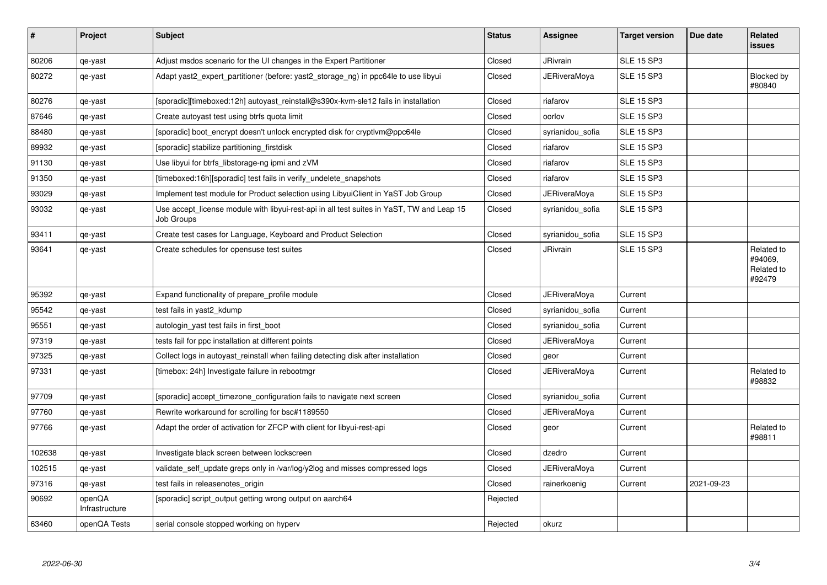| $\#$   | Project                  | <b>Subject</b>                                                                                          | <b>Status</b> | Assignee            | <b>Target version</b> | Due date   | <b>Related</b><br><b>issues</b>               |
|--------|--------------------------|---------------------------------------------------------------------------------------------------------|---------------|---------------------|-----------------------|------------|-----------------------------------------------|
| 80206  | qe-yast                  | Adjust msdos scenario for the UI changes in the Expert Partitioner                                      | Closed        | <b>JRivrain</b>     | <b>SLE 15 SP3</b>     |            |                                               |
| 80272  | qe-yast                  | Adapt yast2_expert_partitioner (before: yast2_storage_ng) in ppc64le to use libyui                      | Closed        | JERiveraMoya        | <b>SLE 15 SP3</b>     |            | Blocked by<br>#80840                          |
| 80276  | qe-yast                  | [sporadic][timeboxed:12h] autoyast reinstall@s390x-kvm-sle12 fails in installation                      | Closed        | riafarov            | <b>SLE 15 SP3</b>     |            |                                               |
| 87646  | qe-yast                  | Create autoyast test using btrfs quota limit                                                            | Closed        | oorlov              | <b>SLE 15 SP3</b>     |            |                                               |
| 88480  | qe-yast                  | [sporadic] boot_encrypt doesn't unlock encrypted disk for cryptlym@ppc64le                              | Closed        | syrianidou_sofia    | <b>SLE 15 SP3</b>     |            |                                               |
| 89932  | qe-yast                  | [sporadic] stabilize partitioning_firstdisk                                                             | Closed        | riafarov            | <b>SLE 15 SP3</b>     |            |                                               |
| 91130  | qe-yast                  | Use libyui for btrfs libstorage-ng ipmi and zVM                                                         | Closed        | riafarov            | <b>SLE 15 SP3</b>     |            |                                               |
| 91350  | qe-yast                  | [timeboxed:16h][sporadic] test fails in verify_undelete_snapshots                                       | Closed        | riafarov            | <b>SLE 15 SP3</b>     |            |                                               |
| 93029  | qe-yast                  | Implement test module for Product selection using LibyuiClient in YaST Job Group                        | Closed        | JERiveraMoya        | <b>SLE 15 SP3</b>     |            |                                               |
| 93032  | qe-yast                  | Use accept_license module with libyui-rest-api in all test suites in YaST, TW and Leap 15<br>Job Groups | Closed        | syrianidou sofia    | <b>SLE 15 SP3</b>     |            |                                               |
| 93411  | qe-yast                  | Create test cases for Language, Keyboard and Product Selection                                          | Closed        | syrianidou_sofia    | <b>SLE 15 SP3</b>     |            |                                               |
| 93641  | qe-yast                  | Create schedules for opensuse test suites                                                               | Closed        | <b>JRivrain</b>     | <b>SLE 15 SP3</b>     |            | Related to<br>#94069,<br>Related to<br>#92479 |
| 95392  | qe-yast                  | Expand functionality of prepare_profile module                                                          | Closed        | <b>JERiveraMoya</b> | Current               |            |                                               |
| 95542  | qe-yast                  | test fails in yast2 kdump                                                                               | Closed        | syrianidou sofia    | Current               |            |                                               |
| 95551  | qe-yast                  | autologin_yast test fails in first_boot                                                                 | Closed        | syrianidou_sofia    | Current               |            |                                               |
| 97319  | qe-yast                  | tests fail for ppc installation at different points                                                     | Closed        | <b>JERiveraMoya</b> | Current               |            |                                               |
| 97325  | qe-yast                  | Collect logs in autoyast_reinstall when failing detecting disk after installation                       | Closed        | geor                | Current               |            |                                               |
| 97331  | qe-yast                  | [timebox: 24h] Investigate failure in rebootmgr                                                         | Closed        | JERiveraMoya        | Current               |            | Related to<br>#98832                          |
| 97709  | qe-yast                  | [sporadic] accept timezone configuration fails to navigate next screen                                  | Closed        | syrianidou_sofia    | Current               |            |                                               |
| 97760  | qe-yast                  | Rewrite workaround for scrolling for bsc#1189550                                                        | Closed        | JERiveraMoya        | Current               |            |                                               |
| 97766  | qe-yast                  | Adapt the order of activation for ZFCP with client for libyui-rest-api                                  | Closed        | geor                | Current               |            | Related to<br>#98811                          |
| 102638 | qe-yast                  | Investigate black screen between lockscreen                                                             | Closed        | dzedro              | Current               |            |                                               |
| 102515 | qe-yast                  | validate self update greps only in /var/log/y2log and misses compressed logs                            | Closed        | <b>JERiveraMoya</b> | Current               |            |                                               |
| 97316  | qe-yast                  | test fails in releasenotes origin                                                                       | Closed        | rainerkoenig        | Current               | 2021-09-23 |                                               |
| 90692  | openQA<br>Infrastructure | [sporadic] script_output getting wrong output on aarch64                                                | Rejected      |                     |                       |            |                                               |
| 63460  | openQA Tests             | serial console stopped working on hyperv                                                                | Rejected      | okurz               |                       |            |                                               |